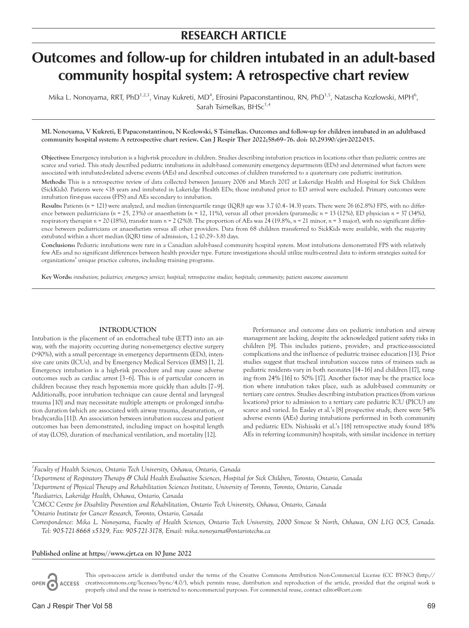# **RESEARCH ARTICLE**

# **Outcomes and follow-up for children intubated in an adult-based community hospital system: A retrospective chart review**

Mika L. Nonoyama, RRT, PhD<sup>1,2,3</sup>, Vinay Kukreti, MD<sup>4</sup>, Efrosini Papaconstantinou, RN, PhD<sup>1,5</sup>, Natascha Kozlowski, MPH<sup>6</sup>, Sarah Tsimelkas,  $BHSc<sup>1,4</sup>$ 

**ML Nonoyama, V Kukreti, E Papaconstantinou, N Kozlowski, S Tsimelkas. Outcomes and follow-up for children intubated in an adultbased community hospital system: A retrospective chart review. Can J Respir Ther 2022;58:69–76. doi: 10.29390/cjrt-2022-015.**

**Objectives:** Emergency intubation is a high-risk procedure in children. Studies describing intubation practices in locations other than pediatric centres are scarce and varied. This study described pediatric intubations in adult-based community emergency departments (EDs) and determined what factors were associated with intubated-related adverse events (AEs) and described outcomes of children transferred to a quaternary care pediatric institution.

**Methods:** This is a retrospective review of data collected between January 2006 and March 2017 at Lakeridge Health and Hospital for Sick Children (SickKids). Patients were <18 years and intubated in Lakeridge Health EDs; those intubated prior to ED arrival were excluded. Primary outcomes were intubation first-pass success (FPS) and AEs secondary to intubation.

**Results:** Patients (*n* = 121) were analyzed, and median (interquartile range (IQR)) age was 3.7 (0.4–14.3) years. There were 76 (62.8%) FPS, with no difference between pediatricians (*n* = 25, 23%) or anaesthetists (*n =* 12, 11%), versus all other providers (paramedic *n =* 13 (12%), ED physician *n =* 37 (34%), respiratory therapist *n =* 20 (18%), transfer team *n =* 2 (2%)). The proportion of AEs was 24 (19.8%, *n =* 21 minor, *n =* 3 major), with no significant difference between pediatricians or anaesthetists versus all other providers. Data from 68 children transferred to SickKids were available, with the majority extubated within a short median (IQR) time of admission, 1.2 (0.29–3.8) days.

**Conclusions:** Pediatric intubations were rare in a Canadian adult-based community hospital system. Most intubations demonstrated FPS with relatively few AEs and no significant differences between health provider type. Future investigations should utilize multi-centred data to inform strategies suited for organizations' unique practice cultures, including training programs.

**Key Words:** *intubation; pediatrics; emergency service; hospital; retrospective studies; hospitals; community; patient outcome assessment*

#### **INTRODUCTION**

Intubation is the placement of an endotracheal tube (ETT) into an airway, with the majority occurring during non-emergency elective surgery (>90%), with a small percentage in emergency departments (EDs), intensive care units (ICUs), and by Emergency Medical Services (EMS) [1, 2]. Emergency intubation is a high-risk procedure and may cause adverse outcomes such as cardiac arrest [3–6]. This is of particular concern in children because they reach hypoxemia more quickly than adults [7–9]. Additionally, poor intubation technique can cause dental and laryngeal trauma [10] and may necessitate multiple attempts or prolonged intubation duration (which are associated with airway trauma, desaturation, or bradycardia [11]). An association between intubation success and patient outcomes has been demonstrated, including impact on hospital length of stay (LOS), duration of mechanical ventilation, and mortality [12].

Performance and outcome data on pediatric intubation and airway management are lacking, despite the acknowledged patient safety risks in children [9]. This includes patient-, provider-, and practice-associated complications and the influence of pediatric trainee education [13]. Prior studies suggest that tracheal intubation success rates of trainees such as pediatric residents vary in both neonates [14–16] and children [17], ranging from 24% [16] to 50% [17]. Another factor may be the practice location where intubation takes place, such as adult-based community or tertiary care centres. Studies describing intubation practices (from various locations) prior to admission to a tertiary care pediatric ICU (PICU) are scarce and varied. In Easley et al.'s [8] prospective study, there were 54% adverse events (AEs) during intubations performed in both community and pediatric EDs. Nishisaki et al.'s [18] retrospective study found 18% AEs in referring (community) hospitals, with similar incidence in tertiary

*1 Faculty of Health Sciences, Ontario Tech University, Oshawa, Ontario, Canada*

*2 Department of Respiratory Therapy & Child Health Evaluative Sciences, Hospital for Sick Children, Toronto, Ontario, Canada*

*3 Department of Physical Therapy and Rehabilitation Sciences Institute, University of Toronto, Toronto, Ontario, Canada*

*4 Paediatrics, Lakeridge Health, Oshawa, Ontario, Canada*

*5 CMCC Centre for Disability Prevention and Rehabilitation, Ontario Tech University, Oshawa, Ontario, Canada*

*6 Ontario Institute for Cancer Research, Toronto, Ontario, Canada*

*Correspondence: Mika L. Nonoyama, Faculty of Health Sciences, Ontario Tech University, 2000 Simcoe St North, Oshawa, ON L1G 0C5, Canada. Tel: 905-721-8668 x5329, Fax: 905-721-3178, Email: [mika.nonoyama@ontariotechu.ca](mailto:mika.nonoyama@ontariotechu.ca)*

**Published online at <https://www.cjrt.ca>on 10 June 2022**

This open-access article is distributed under the terms of the Creative Commons Attribution Non-Commercial License (CC BY-NC) ([http://](http://creativecommons.org/licenses/by-nc/4.0/) OPEN ACCESS [creativecommons.org/licenses/by-nc/4.0/\)](http://creativecommons.org/licenses/by-nc/4.0/), which permits reuse, distribution and reproduction of the article, provided that the original work is properly cited and the reuse is restricted to noncommercial purposes. For commercial reuse, contact [editor@csrt.com](mailto:editor@csrt.com)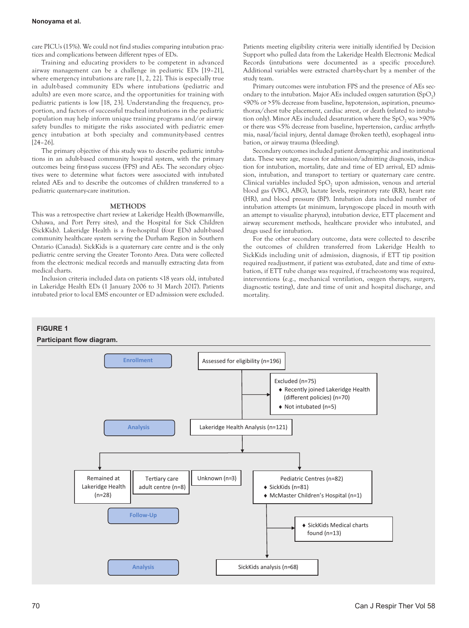care PICUs (15%). We could not find studies comparing intubation practices and complications between different types of EDs.

Training and educating providers to be competent in advanced airway management can be a challenge in pediatric EDs [19–21], where emergency intubations are rare [1, 2, 22]. This is especially true in adult-based community EDs where intubations (pediatric and adults) are even more scarce, and the opportunities for training with pediatric patients is low [18, 23]. Understanding the frequency, proportion, and factors of successful tracheal intubations in the pediatric population may help inform unique training programs and/or airway safety bundles to mitigate the risks associated with pediatric emergency intubation at both specialty and community-based centres [24–26].

The primary objective of this study was to describe pediatric intubations in an adult-based community hospital system, with the primary outcomes being first-pass success (FPS) and AEs. The secondary objectives were to determine what factors were associated with intubated related AEs and to describe the outcomes of children transferred to a pediatric quaternary-care institution.

#### **METHODS**

This was a retrospective chart review at Lakeridge Health (Bowmanville, Oshawa, and Port Perry sites), and the Hospital for Sick Children (SickKids). Lakeridge Health is a five-hospital (four EDs) adult-based community healthcare system serving the Durham Region in Southern Ontario (Canada). SickKids is a quaternary care centre and is the only pediatric centre serving the Greater Toronto Area. Data were collected from the electronic medical records and manually extracting data from medical charts.

Inclusion criteria included data on patients <18 years old, intubated in Lakeridge Health EDs (1 January 2006 to 31 March 2017). Patients intubated prior to local EMS encounter or ED admission were excluded.

Patients meeting eligibility criteria were initially identified by Decision Support who pulled data from the Lakeridge Health Electronic Medical Records (intubations were documented as a specific procedure). Additional variables were extracted chart-by-chart by a member of the study team.

Primary outcomes were intubation FPS and the presence of AEs secondary to the intubation. Major AEs included oxygen saturation  $(SpO<sub>2</sub>)$ <90% or >5% decrease from baseline, hypotension, aspiration, pneumothorax/chest tube placement, cardiac arrest, or death (related to intubation only). Minor AEs included desaturation where the  $SpO<sub>2</sub>$  was >90% or there was <5% decrease from baseline, hypertension, cardiac arrhythmia, nasal/facial injury, dental damage (broken teeth), esophageal intubation, or airway trauma (bleeding).

Secondary outcomes included patient demographic and institutional data. These were age, reason for admission/admitting diagnosis, indication for intubation, mortality, date and time of ED arrival, ED admission, intubation, and transport to tertiary or quaternary care centre. Clinical variables included SpO<sub>2</sub> upon admission, venous and arterial blood gas (VBG, ABG), lactate levels, respiratory rate (RR), heart rate (HR), and blood pressure (BP). Intubation data included number of intubation attempts (at minimum, laryngoscope placed in mouth with an attempt to visualize pharynx), intubation device, ETT placement and airway securement methods, healthcare provider who intubated, and drugs used for intubation.

For the other secondary outcome, data were collected to describe the outcomes of children transferred from Lakeridge Health to SickKids including unit of admission, diagnosis, if ETT tip position required readjustment, if patient was extubated, date and time of extubation, if ETT tube change was required, if tracheostomy was required, interventions (e.g., mechanical ventilation, oxygen therapy, surgery, diagnostic testing), date and time of unit and hospital discharge, and mortality.

# **FIGURE 1**

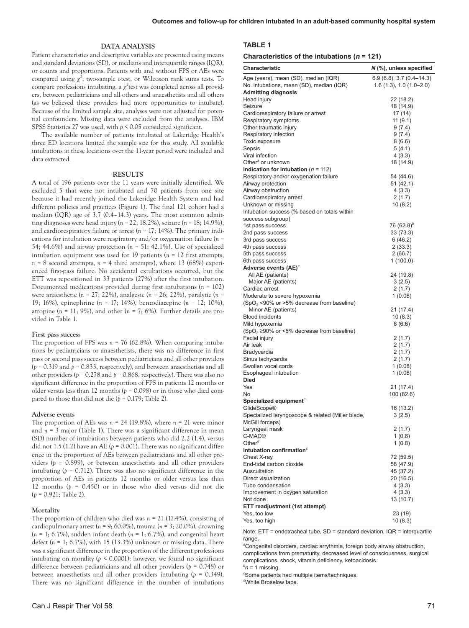#### **DATA ANALYSIS**

Patient characteristics and descriptive variables are presented using means and standard deviations (SD), or medians and interquartile ranges (IQR), or counts and proportions. Patients with and without FPS or AEs were compared using  $\chi^2$ , two-sample *t*-test, or Wilcoxon rank sums tests. To compare professions intubating, a  $\chi^2$  test was completed across all providers, between pediatricians and all others and anaesthetists and all others (as we believed these providers had more opportunities to intubate). Because of the limited sample size, analyses were not adjusted for potential confounders. Missing data were excluded from the analyses. IBM SPSS Statistics 27 was used, with *p* < 0.05 considered significant.

The available number of patients intubated at Lakeridge Health's three ED locations limited the sample size for this study. All available intubations at these locations over the 11-year period were included and data extracted.

#### **RESULTS**

A total of 196 patients over the 11 years were initially identified. We excluded 5 that were not intubated and 70 patients from one site because it had recently joined the Lakeridge Health System and had different policies and practices (Figure 1). The final 121 cohort had a median (IQR) age of 3.7 (0.4–14.3) years. The most common admitting diagnoses were head injury (*n =* 22; 18.2%), seizure (*n =* 18; 14.9%), and cardiorespiratory failure or arrest (*n =* 17; 14%). The primary indications for intubation were respiratory and/or oxygenation failure (*n =*  54; 44.6%) and airway protection (*n =* 51; 42.1%). Use of specialized intubation equipment was used for 19 patients (*n =* 12 first attempts,  $n = 8$  second attempts,  $n = 4$  third attempts), where 13 (68%) experienced first-pass failure. No accidental extubations occurred, but the ETT was repositioned in 33 patients (27%) after the first intubation. Documented medications provided during first intubations (*n =* 102) were anaesthetic (*n =* 27; 22%), analgesic (*n =* 26; 22%), paralytic (*n =*  19; 16%), epinephrine (*n =* 17; 14%), benzodiazepine (*n =* 12; 10%), atropine (*n =* 11; 9%), and other (*n =* 7; 6%). Further details are provided in Table 1.

#### **First pass success**

The proportion of FPS was *n =* 76 (62.8%). When comparing intubations by pediatricians or anaesthetists, there was no difference in first pass or second pass success between pediatricians and all other providers (*p* = 0.319 and *p* = 0.833, respectively), and between anaesthetists and all other providers ( $p = 0.278$  and  $p = 0.868$ , respectively). There was also no significant difference in the proportion of FPS in patients 12 months or older versus less than 12 months (*p* = 0.098) or in those who died compared to those that did not die (*p* = 0.179; Table 2).

#### **Adverse events**

The proportion of AEs was *n =* 24 (19.8%), where *n =* 21 were minor and  $n = 3$  major (Table 1). There was a significant difference in mean (SD) number of intubations between patients who did 2.2 (1.4), versus did not 1.5 (1.2) have an AE ( $p = 0.001$ ). There was no significant difference in the proportion of AEs between pediatricians and all other providers (*p* = 0.899), or between anaesthetists and all other providers intubating ( $p = 0.712$ ). There was also no significant difference in the proportion of AEs in patients 12 months or older versus less than 12 months (*p* = 0.450) or in those who died versus did not die (*p* = 0.921; Table 2).

## **Mortality**

The proportion of children who died was *n =* 21 (17.4%), consisting of cardiopulmonary arrest (*n =* 9; 60.0%), trauma (*n =* 3; 20.0%), drowning (*n =* 1; 6.7%), sudden infant death (*n =* 1; 6.7%), and congenital heart defect (*n =* 1; 6.7%), with 15 (13.3%) unknown or missing data. There was a significant difference in the proportion of the different professions intubating on morality ( $p \le 0.0001$ ); however, we found no significant difference between pediatricians and all other providers (*p* = 0.748) or between anaesthetists and all other providers intubating (*p* = 0.349). There was no significant difference in the number of intubations

#### **Characteristics of the intubations (***n* **= 121)**

| Characteristic                                              | $N$ (%), unless specified |
|-------------------------------------------------------------|---------------------------|
| Age (years), mean (SD), median (IQR)                        | $6.9(6.8), 3.7(0.4-14.3)$ |
| No. intubations, mean (SD), median (IQR)                    | $1.6(1.3), 1.0(1.0-2.0)$  |
| <b>Admitting diagnosis</b>                                  |                           |
| Head injury<br>Seizure                                      | 22 (18.2)<br>18 (14.9)    |
| Cardiorespiratory failure or arrest                         | 17(14)                    |
| Respiratory symptoms                                        | 11(9.1)                   |
| Other traumatic injury                                      | 9 (7.4)                   |
| Respiratory infection                                       | 9(7.4)                    |
| Toxic exposure                                              | 8(6.6)                    |
| Sepsis                                                      | 5 (4.1)                   |
| Viral infection                                             | 4(3.3)                    |
| Other <sup>a</sup> or unknown                               | 18 (14.9)                 |
| Indication for intubation ( $n = 112$ )                     |                           |
| Respiratory and/or oxygenation failure<br>Airway protection | 54 (44.6)<br>51 (42.1)    |
| Airway obstruction                                          | 4(3.3)                    |
| Cardiorespiratory arrest                                    | 2 (1.7)                   |
| Unknown or missing                                          | 10(8.2)                   |
| Intubation success (% based on totals within                |                           |
| success subgroup)                                           |                           |
| 1st pass success                                            | 76 $(62.8)^b$             |
| 2nd pass success                                            | 33 (73.3)                 |
| 3rd pass success                                            | 6(46.2)                   |
| 4th pass success                                            | 2(33.3)                   |
| 5th pass success                                            | 2(66.7)                   |
| 6th pass success                                            | 1 (100.0)                 |
| Adverse events $(AE)^c$                                     |                           |
| All AE (patients)<br>Major AE (patients)                    | 24 (19.8)<br>3(2.5)       |
| Cardiac arrest                                              | 2 (1.7)                   |
| Moderate to severe hypoxemia                                | 1(0.08)                   |
| (SpO <sub>2</sub> <90% or >5% decrease from baseline)       |                           |
| Minor AE (patients)                                         | 21 (17.4)                 |
| <b>Blood incidents</b>                                      | 10(8.3)                   |
| Mild hypoxemia                                              | 8(6.6)                    |
| (SpO <sub>2</sub> ≥90% or <5% decrease from baseline)       |                           |
| Facial injury                                               | 2 (1.7)                   |
| Air leak                                                    | 2(1.7)                    |
| Bradycardia                                                 | 2(1.7)                    |
| Sinus tachycardia                                           | 2(1.7)                    |
| Swollen vocal cords                                         | 1(0.08)                   |
| Esophageal intubation<br>Died                               | 1(0.08)                   |
| Yes                                                         | 21 (17.4)                 |
| No                                                          | 100 (82.6)                |
| Specialized equipment <sup>c</sup>                          |                           |
| <b>GlideScope®</b>                                          | 16 (13.2)                 |
| Specialized laryngoscope & related (Miller blade,           | 3(2.5)                    |
| McGill forceps)                                             |                           |
| Laryngeal mask                                              | 2(1.7)                    |
| C-MAC <sup>®</sup><br>Other <sup><math>d</math></sup>       | 1(0.8)                    |
| Intubation confirmation <sup>c</sup>                        | 1(0.8)                    |
| Chest X-rav                                                 | 72 (59.5)                 |
| End-tidal carbon dioxide                                    | 58 (47.9)                 |
| Auscultation                                                | 45 (37.2)                 |
| Direct visualization                                        | 20 (16.5)                 |
| Tube condensation                                           | 4(3.3)                    |
| Improvement in oxygen saturation                            | 4(3.3)                    |
| Not done                                                    | 13 (10.7)                 |
| ETT readjustment (1st attempt)                              |                           |
| Yes, too low                                                | 23 (19)                   |
| Yes, too high                                               | 10(8.3)                   |

Note: ETT = endotracheal tube, SD = standard deviation, IQR = interquartile range.

*a* Congenital disorders, cardiac arrythmia, foreign body airway obstruction, complications from prematurity, decreased level of consciousness, surgical complications, shock, vitamin deficiency, ketoacidosis.

*b n =* 1 missing.

*c* Some patients had multiple items/techniques.

*d* White Broselow tape.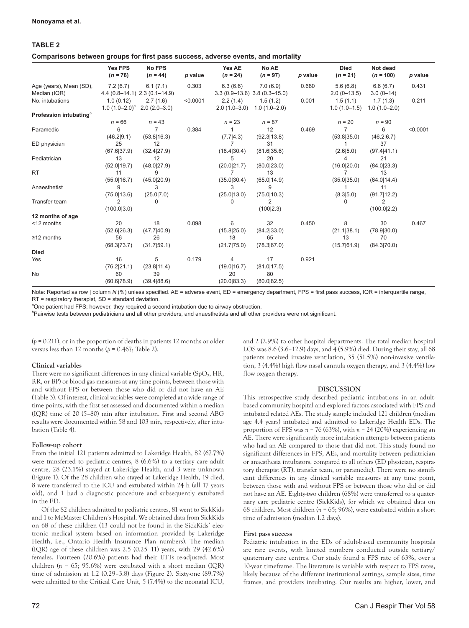# **TABLE 2**

**Comparisons between groups for first pass success, adverse events, and mortality**

|                                    | <b>Yes FPS</b><br>$(n = 76)$        | <b>No FPS</b><br>$(n = 44)$      | p value  | Yes AE<br>$(n = 24)$ | No AE<br>$(n = 97)$             | p value | <b>Died</b><br>$(n = 21)$ | Not dead<br>$(n = 100)$       | p value  |
|------------------------------------|-------------------------------------|----------------------------------|----------|----------------------|---------------------------------|---------|---------------------------|-------------------------------|----------|
| Age (years), Mean (SD),            | 7.2(6.7)                            | 6.1(7.1)                         | 0.303    | 6.3(6.6)             | 7.0(6.9)                        | 0.680   | 5.6(6.8)                  | 6.6(6.7)                      | 0.431    |
| Median (IQR)                       |                                     | $4.4(0.8-14.1)$ 2.3 $(0.1-14.9)$ |          |                      | $3.3(0.9-13.6)$ $3.8(0.3-15.0)$ |         | $2.0(0-13.5)$             | $3.0(0-14)$                   |          |
| No. intubations                    | 1.0(0.12)                           | 2.7(1.6)                         | < 0.0001 | 2.2(1.4)             | 1.5(1.2)                        | 0.001   | 1.5(1.1)                  | 1.7(1.3)                      | 0.211    |
|                                    | 1.0 $(1.0-2.0)^{a}$ 2.0 $(2.0-3.0)$ |                                  |          |                      | $2.0(1.0-3.0)$ $1.0(1.0-2.0)$   |         |                           | $1.0(1.0-1.5)$ $1.0(1.0-2.0)$ |          |
| Profession intubating <sup>b</sup> |                                     |                                  |          |                      |                                 |         |                           |                               |          |
|                                    | $n = 66$                            | $n = 43$                         |          | $n = 23$             | $n = 87$                        |         | $n = 20$                  | $n = 90$                      |          |
| Paramedic                          | 6                                   | $\overline{7}$                   | 0.384    |                      | 12                              | 0.469   | $\overline{7}$            | 6                             | < 0.0001 |
|                                    | (46.2 9.1)                          | (53.8 16.3)                      |          | (7.7 4.3)            | (92.3 13.8)                     |         | (53.8 35.0)               | (46.2 6.7)                    |          |
| ED physician                       | 25                                  | 12                               |          | 7                    | 31                              |         |                           | 37                            |          |
|                                    | (67.6 37.9)                         | (32.4 27.9)                      |          | (18.4 30.4)          | (81.6 35.6)                     |         | (2.6 5.0)                 | (97.4 41.1)                   |          |
| Pediatrician                       | 13                                  | 12                               |          | 5                    | 20                              |         | 4                         | 21                            |          |
|                                    | (52.0 19.7)                         | (48.0 27.9)                      |          | (20.0 21.7)          | (80.0 23.0)                     |         | (16.0 20.0)               | (84.0 23.3)                   |          |
| <b>RT</b>                          | 11                                  | 9                                |          | 7                    | 13                              |         | 7                         | 13                            |          |
|                                    | (55.0 16.7)                         | (45.0 20.9)                      |          | (35.0 30.4)          | (65.0 14.9)                     |         | (35.0 35.0)               | (64.0 14.4)                   |          |
| Anaesthetist                       | 9                                   | 3                                |          | 3                    | 9                               |         | 1                         | 11                            |          |
|                                    | (75.0 13.6)                         | (25.0 7.0)                       |          | (25.0 13.0)          | (75.0 10.3)                     |         | (8.3 5.0)                 | (91.7 12.2)                   |          |
| Transfer team                      | 2                                   | 0                                |          | 0                    | 2                               |         | 0                         | 2                             |          |
|                                    | (100.0 3.0)                         |                                  |          |                      | (100 2.3)                       |         |                           | (100.0 2.2)                   |          |
| 12 months of age                   |                                     |                                  |          |                      |                                 |         |                           |                               |          |
| <12 months                         | 20                                  | 18                               | 0.098    | 6                    | 32                              | 0.450   | 8                         | 30                            | 0.467    |
|                                    | (52.6 26.3)                         | (47.7 40.9)                      |          | (15.8 25.0)          | (84.2 33.0)                     |         | (21.1 38.1)               | (78.9 30.0)                   |          |
| $\geq$ 12 months                   | 56                                  | 26                               |          | 18                   | 65                              |         | 13                        | 70                            |          |
|                                    | (68.3 73.7)                         | (31.7 59.1)                      |          | (21.7 75.0)          | (78.3 67.0)                     |         | (15.7 61.9)               | (84.3 70.0)                   |          |
| <b>Died</b>                        |                                     |                                  |          |                      |                                 |         |                           |                               |          |
| Yes                                | 16                                  | 5                                | 0.179    | 4                    | 17                              | 0.921   |                           |                               |          |
|                                    | (76.2 21.1)                         | (23.8 11.4)                      |          | (19.0 16.7)          | (81.0 17.5)                     |         |                           |                               |          |
| No                                 | 60                                  | 39                               |          | 20                   | 80                              |         |                           |                               |          |
|                                    | (60.6 78.9)                         | (39.4 88.6)                      |          | (20.0 83.3)          | (80.0 82.5)                     |         |                           |                               |          |

Note: Reported as row | column *N* (%) unless specified. AE = adverse event, ED = emergency department, FPS = first pass success, IQR = interquartile range, RT = respiratory therapist, SD = standard deviation.

<sup>a</sup>One patient had FPS; however, they required a second intubation due to airway obstruction.

*b* Pairwise tests between pediatricians and all other providers, and anaesthetists and all other providers were not significant.

 $(p = 0.211)$ , or in the proportion of deaths in patients 12 months or older versus less than 12 months (*p* = 0.467; Table 2).

## **Clinical variables**

There were no significant differences in any clinical variable  $(SpO<sub>2</sub>, HR,$ RR, or BP) or blood gas measures at any time points, between those with and without FPS or between those who did or did not have an AE (Table 3). Of interest, clinical variables were completed at a wide range of time points, with the first set assessed and documented within a median (IQR) time of 20 (5–80) min after intubation. First and second ABG results were documented within 58 and 103 min, respectively, after intubation (Table 4).

## **Follow-up cohort**

From the initial 121 patients admitted to Lakeridge Health, 82 (67.7%) were transferred to pediatric centres, 8 (6.6%) to a tertiary care adult centre, 28 (23.1%) stayed at Lakeridge Health, and 3 were unknown (Figure 1). Of the 28 children who stayed at Lakeridge Health, 19 died, 8 were transferred to the ICU and extubated within 24 h (all 17 years old), and 1 had a diagnostic procedure and subsequently extubated in the ED.

Of the 82 children admitted to pediatric centres, 81 went to SickKids and 1 to McMaster Children's Hospital. We obtained data from SickKids on 68 of these children (13 could not be found in the SickKids' electronic medical system based on information provided by Lakeridge Health, i.e., Ontario Health Insurance Plan numbers). The median (IQR) age of these children was 2.5 (0.25–11) years, with 29 (42.6%) females. Fourteen (20.6%) patients had their ETTs re-adjusted. Most children (*n =* 65; 95.6%) were extubated with a short median (IQR) time of admission at 1.2 (0.29–3.8) days (Figure 2). Sixty-one (89.7%) were admitted to the Critical Care Unit, 5 (7.4%) to the neonatal ICU, and 2 (2.9%) to other hospital departments. The total median hospital LOS was 8.6 (3.6–12.9) days, and 4 (5.9%) died. During their stay, all 68 patients received invasive ventilation, 35 (51.5%) non-invasive ventilation, 3 (4.4%) high flow nasal cannula oxygen therapy, and 3 (4.4%) low flow oxygen therapy.

## **DISCUSSION**

This retrospective study described pediatric intubations in an adultbased community hospital and explored factors associated with FPS and intubated related AEs. The study sample included 121 children (median age 4.4 years) intubated and admitted to Lakeridge Health EDs. The proportion of FPS was *n =* 76 (63%), with *n =* 24 (20%) experiencing an AE. There were significantly more intubation attempts between patients who had an AE compared to those that did not. This study found no significant differences in FPS, AEs, and mortality between pediatrician or anaesthesia intubators, compared to all others (ED physician, respiratory therapist (RT), transfer team, or paramedic). There were no significant differences in any clinical variable measures at any time point, between those with and without FPS or between those who did or did not have an AE. Eighty-two children (68%) were transferred to a quaternary care pediatric centre (SickKids), for which we obtained data on 68 children. Most children (*n =* 65; 96%), were extubated within a short time of admission (median 1.2 days).

## **First pass success**

Pediatric intubation in the EDs of adult-based community hospitals are rare events, with limited numbers conducted outside tertiary/ quaternary care centres. Our study found a FPS rate of 63%, over a 10-year timeframe. The literature is variable with respect to FPS rates, likely because of the different institutional settings, sample sizes, time frames, and providers intubating. Our results are higher, lower, and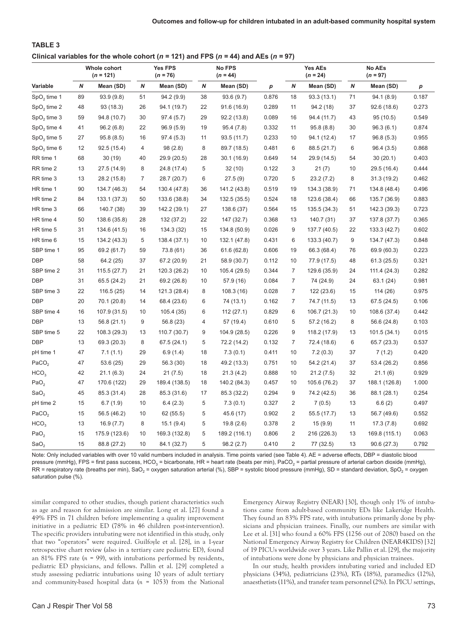# **TABLE 3** Clinical variables for the whole cohort ( $n = 121$ ) and FPS ( $n = 44$ ) and AEs ( $n = 97$ )

| Whole cohort<br>$(n = 121)$ |                  | <b>Yes FPS</b><br>$(n = 76)$ |       | No FPS<br>$(n = 44)$ |                  |               | <b>Yes AEs</b><br>$(n = 24)$ |                | <b>No AEs</b><br>$(n = 97)$ |    |               |       |
|-----------------------------|------------------|------------------------------|-------|----------------------|------------------|---------------|------------------------------|----------------|-----------------------------|----|---------------|-------|
| Variable                    | $\boldsymbol{N}$ | Mean (SD)                    | N     | Mean (SD)            | $\boldsymbol{N}$ | Mean (SD)     | p                            | N              | Mean (SD)                   | N  | Mean (SD)     | р     |
| $SpO2$ time 1               | 89               | 93.9 (9.8)                   | 51    | 94.2(9.9)            | 38               | 93.6(9.7)     | 0.876                        | 18             | 93.3 (13.1)                 | 71 | 94.1 (8.9)    | 0.187 |
| $SpO2$ time 2               | 48               | 93 (18.3)                    | 26    | 94.1 (19.7)          | 22               | 91.6 (16.9)   | 0.289                        | 11             | 94.2 (18)                   | 37 | 92.6 (18.6)   | 0.273 |
| $SpO2$ time 3               | 59               | 94.8 (10.7)                  | 30    | 97.4 (5.7)           | 29               | 92.2 (13.8)   | 0.089                        | 16             | 94.4 (11.7)                 | 43 | 95 (10.5)     | 0.549 |
| $SpO2$ time 4               | 41               | 96.2(6.8)                    | 22    | 96.9(5.9)            | 19               | 95.4 (7.8)    | 0.332                        | 11             | 95.8(8.8)                   | 30 | 96.3(6.1)     | 0.874 |
| $SpO2$ time 5               | 27               | 95.8(8.5)                    | 16    | 97.4(5.3)            | 11               | 93.5 (11.7)   | 0.233                        | 10             | 94.1 (12.4)                 | 17 | 96.8(5.3)     | 0.955 |
| $SpO2$ time 6               | 12               | 92.5 (15.4)                  | 4     | 98 (2.8)             | 8                | 89.7 (18.5)   | 0.481                        | 6              | 88.5 (21.7)                 | 6  | 96.4(3.5)     | 0.868 |
| RR time 1                   | 68               | 30(19)                       | 40    | 29.9 (20.5)          | 28               | 30.1 (16.9)   | 0.649                        | 14             | 29.9 (14.5)                 | 54 | 30(20.1)      | 0.403 |
| RR time 2                   | 13               | 27.5 (14.9)                  | 8     | 24.8 (17.4)          | 5                | 32(10)        | 0.122                        | 3              | 21(7)                       | 10 | 29.5 (16.4)   | 0.444 |
| RR time 3                   | 13               | 28.2 (15.8)                  | 7     | 28.7 (20.7)          | 6                | 27.5 (9)      | 0.720                        | 5              | 23.2(7.2)                   | 8  | 31.3 (19.2)   | 0.462 |
| HR time 1                   | 90               | 134.7 (46.3)                 | 54    | 130.4 (47.8)         | 36               | 141.2 (43.8)  | 0.519                        | 19             | 134.3 (38.9)                | 71 | 134.8 (48.4)  | 0.496 |
| HR time 2                   | 84               | 133.1 (37.3)                 | 50    | 133.6 (38.8)         | 34               | 132.5 (35.5)  | 0.524                        | 18             | 123.6 (38.4)                | 66 | 135.7 (36.9)  | 0.883 |
| HR time 3                   | 66               | 140.7 (38)                   | 39    | 142.2 (39.1)         | 27               | 138.6 (37)    | 0.564                        | 15             | 135.5 (34.3)                | 51 | 142.3 (39.3)  | 0.723 |
| HR time 4                   | 50               | 138.6 (35.8)                 | 28    | 132 (37.2)           | 22               | 147 (32.7)    | 0.368                        | 13             | 140.7 (31)                  | 37 | 137.8 (37.7)  | 0.365 |
| HR time 5                   | 31               | 134.6 (41.5)                 | 16    | 134.3 (32)           | 15               | 134.8 (50.9)  | 0.026                        | 9              | 137.7 (40.5)                | 22 | 133.3 (42.7)  | 0.602 |
| HR time 6                   | 15               | 134.2 (43.3)                 | 5     | 138.4 (37.1)         | 10               | 132.1 (47.8)  | 0.431                        | 6              | 133.3 (40.7)                | 9  | 134.7 (47.3)  | 0.848 |
| SBP time 1                  | 95               | 69.2 (61.7)                  | 59    | 73.8 (61)            | 36               | 61.6 (62.8)   | 0.606                        | 19             | 66.3 (68.4)                 | 76 | 69.9 (60.3)   | 0.223 |
| <b>DBP</b>                  | 58               | 64.2 (25)                    | 37    | 67.2 (20.9)          | 21               | 58.9 (30.7)   | 0.112                        | 10             | 77.9 (17.5)                 | 48 | 61.3 (25.5)   | 0.321 |
| SBP time 2                  | 31               | 115.5 (27.7)                 | 21    | 120.3 (26.2)         | 10               | 105.4 (29.5)  | 0.344                        | $\overline{7}$ | 129.6 (35.9)                | 24 | 111.4 (24.3)  | 0.282 |
| <b>DBP</b>                  | 31               | 65.5 (24.2)                  | 21    | 69.2 (26.8)          | 10               | 57.9 (16)     | 0.084                        | $\overline{7}$ | 74 (24.9)                   | 24 | 63.1 (24)     | 0.981 |
| SBP time 3                  | 22               | 116.5(25)                    | 14    | 121.3 (28.4)         | 8                | 108.3 (16)    | 0.028                        | $\overline{7}$ | 122 (23.6)                  | 15 | 114 (26)      | 0.975 |
| <b>DBP</b>                  | 20               | 70.1 (20.8)                  | 14    | 68.4 (23.6)          | 6                | 74 (13.1)     | 0.162                        | $\overline{7}$ | 74.7 (11.5)                 | 13 | 67.5 (24.5)   | 0.106 |
| SBP time 4                  | 16               | 107.9 (31.5)                 | 10    | 105.4 (35)           | 6                | 112(27.1)     | 0.829                        | 6              | 106.7 (21.3)                | 10 | 108.6 (37.4)  | 0.442 |
| <b>DBP</b>                  | 13               | 56.8 (21.1)                  | $9\,$ | 56.8 (23)            | 4                | 57 (19.4)     | 0.610                        | 5              | 57.2 (16.2)                 | 8  | 56.6 (24.8)   | 0.103 |
| SBP time 5                  | 22               | 108.3 (29.3)                 | 13    | 110.7 (30.7)         | 9                | 104.9 (28.5)  | 0.226                        | 9              | 118.2 (17.9)                | 13 | 101.5 (34.1)  | 0.015 |
| <b>DBP</b>                  | 13               | 69.3 (20.3)                  | 8     | 67.5 (24.1)          | 5                | 72.2 (14.2)   | 0.132                        | $\overline{7}$ | 72.4 (18.6)                 | 6  | 65.7 (23.3)   | 0.537 |
| pH time 1                   | 47               | 7.1(1.1)                     | 29    | 6.9(1.4)             | 18               | 7.3(0.1)      | 0.411                        | 10             | 7.2(0.3)                    | 37 | 7(1.2)        | 0.420 |
| PaCO <sub>2</sub>           | 47               | 53.6 (25)                    | 29    | 56.3 (30)            | 18               | 49.2 (13.3)   | 0.751                        | 10             | 54.2 (21.4)                 | 37 | 53.4 (26.2)   | 0.856 |
| HCO <sub>3</sub>            | 42               | 21.1 (6.3)                   | 24    | 21(7.5)              | 18               | 21.3(4.2)     | 0.888                        | 10             | 21.2(7.5)                   | 32 | 21.1(6)       | 0.929 |
| PaO <sub>2</sub>            | 47               | 170.6 (122)                  | 29    | 189.4 (138.5)        | 18               | 140.2 (84.3)  | 0.457                        | 10             | 105.6 (76.2)                | 37 | 188.1 (126.8) | 1.000 |
| SaO <sub>2</sub>            | 45               | 85.3 (31.4)                  | 28    | 85.3 (31.6)          | 17               | 85.3 (32.2)   | 0.294                        | 9              | 74.2 (42.5)                 | 36 | 88.1 (28.1)   | 0.254 |
| pH time 2                   | 15               | 6.7(1.9)                     | 10    | 6.4(2.3)             | 5                | 7.3(0.1)      | 0.327                        | $\overline{2}$ | 7(0.5)                      | 13 | 6.6(2)        | 0.497 |
| PaCO <sub>2</sub>           | 15               | 56.5 (46.2)                  | 10    | 62 (55.5)            | 5                | 45.6 (17)     | 0.902                        | $\overline{2}$ | 55.5 (17.7)                 | 13 | 56.7 (49.6)   | 0.552 |
| HCO <sub>3</sub>            | 13               | 16.9(7.7)                    | 8     | 15.1(9.4)            | 5                | 19.8(2.6)     | 0.378                        | $\overline{2}$ | 15 (9.9)                    | 11 | 17.3(7.8)     | 0.692 |
| PaO <sub>2</sub>            | 15               | 175.9 (123.6)                | 10    | 169.3 (132.8)        | 5                | 189.2 (116.1) | 0.806                        | $\overline{2}$ | 216 (226.3)                 | 13 | 169.8 (115.1) | 0.063 |
| SaO <sub>2</sub>            | 15               | 88.8 (27.2)                  | 10    | 84.1 (32.7)          | 5                | 98.2 (2.7)    | 0.410                        | $\overline{2}$ | 77 (32.5)                   | 13 | 90.6 (27.3)   | 0.792 |

Note: Only included variables with over 10 valid numbers included in analysis. Time points varied (see Table 4). AE = adverse effects, DBP = diastolic blood pressure (mmHg), FPS = first pass success, HCO<sub>3</sub> = bicarbonate, HR = heart rate (beats per min), PaCO<sub>2</sub> = partial pressure of arterial carbon dioxide (mmHg), RR = respiratory rate (breaths per min), SaO<sub>2</sub> = oxygen saturation arterial (%), SBP = systolic blood pressure (mmHg), SD = standard deviation, SpO<sub>2</sub> = oxygen saturation pulse (%).

similar compared to other studies, though patient characteristics such as age and reason for admission are similar. Long et al. [27] found a 49% FPS in 71 children before implementing a quality improvement initiative in a pediatric ED (78% in 46 children post-intervention). The specific providers intubating were not identified in this study, only that two "operators" were required. Guilfoyle et al. [28], in a 1-year retrospective chart review (also in a tertiary care pediatric ED), found an 81% FPS rate (*n =* 99), with intubations performed by residents, pediatric ED physicians, and fellows. Pallin et al. [29] completed a study assessing pediatric intubations using 10 years of adult tertiary and community-based hospital data (*n =* 1053) from the National

Emergency Airway Registry (NEAR) [30], though only 1% of intubations came from adult-based community EDs like Lakeridge Health. They found an 83% FPS rate, with intubations primarily done by physicians and physician trainees. Finally, our numbers are similar with Lee et al. [31] who found a 60% FPS (1256 out of 2080) based on the National Emergency Airway Registry for Children (NEAR4KIDS) [32] of 19 PICUs worldwide over 3 years. Like Pallin et al. [29], the majority of intubations were done by physicians and physician trainees.

In our study, health providers intubating varied and included ED physicians (34%), pediatricians (23%), RTs (18%), paramedics (12%), anaesthetists (11%), and transfer team personnel (2%). In PICU settings,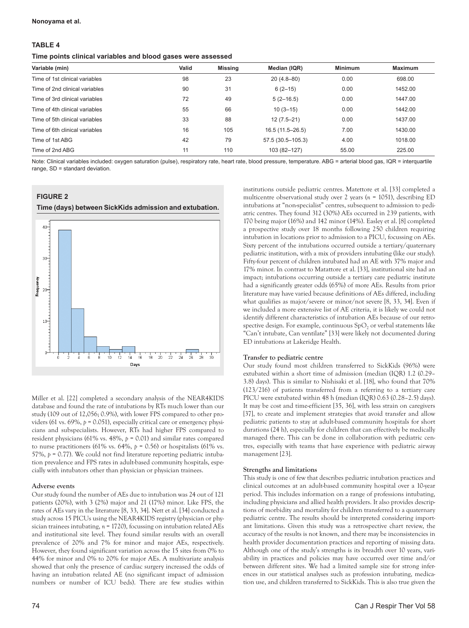#### **Nonoyama et al.**

## **TABLE 4**

#### **Time points clinical variables and blood gases were assessed**

| Valid | <b>Missing</b> | Median (IQR)      | <b>Minimum</b> | <b>Maximum</b> |
|-------|----------------|-------------------|----------------|----------------|
| 98    | 23             | $20(4.8 - 80)$    | 0.00           | 698.00         |
| 90    | 31             | $6(2-15)$         | 0.00           | 1452.00        |
| 72    | 49             | $5(2-16.5)$       | 0.00           | 1447.00        |
| 55    | 66             | $10(3 - 15)$      | 0.00           | 1442.00        |
| 33    | 88             | $12(7.5 - 21)$    | 0.00           | 1437.00        |
| 16    | 105            | 16.5 (11.5-26.5)  | 7.00           | 1430.00        |
| 42    | 79             | 57.5 (30.5-105.3) | 4.00           | 1018.00        |
| 11    | 110            | 103 (82-127)      | 55.00          | 225.00         |
|       |                |                   |                |                |

Note: Clinical variables included: oxygen saturation (pulse), respiratory rate, heart rate, blood pressure, temperature. ABG = arterial blood gas, IQR = interquartile range, SD = standard deviation.

## **FIGURE 2**

#### **Time (days) between SickKids admission and extubation.**



Miller et al. [22] completed a secondary analysis of the NEAR4KIDS database and found the rate of intubations by RTs much lower than our study (109 out of 12,056; 0.9%), with lower FPS compared to other providers (61 vs. 69%, *p* = 0.051), especially critical care or emergency physicians and subspecialists. However, RTs had higher FPS compared to resident physicians (61% vs. 48%, *p* = 0.01) and similar rates compared to nurse practitioners (61% vs. 64%,  $p = 0.56$ ) or hospitalists (61% vs. 57%, *p* = 0.77). We could not find literature reporting pediatric intubation prevalence and FPS rates in adult-based community hospitals, especially with intubators other than physician or physician trainees.

#### **Adverse events**

Our study found the number of AEs due to intubation was 24 out of 121 patients (20%), with 3 (2%) major and 21 (17%) minor. Like FPS, the rates of AEs vary in the literature [8, 33, 34]. Nett et al. [34] conducted a study across 15 PICUs using the NEAR4KIDS registry (physician or physician trainees intubating, *n =* 1720), focussing on intubation related AEs and institutional site level. They found similar results with an overall prevalence of 20% and 7% for minor and major AEs, respectively. However, they found significant variation across the 15 sites from 0% to 44% for minor and 0% to 20% for major AEs. A multivariate analysis showed that only the presence of cardiac surgery increased the odds of having an intubation related AE (no significant impact of admission numbers or number of ICU beds). There are few studies within

institutions outside pediatric centres. Matettore et al. [33] completed a multicentre observational study over 2 years (*n =* 1051), describing ED intubations at "non-specialist" centres, subsequent to admission to pediatric centres. They found 312 (30%) AEs occurred in 239 patients, with 170 being major (16%) and 142 minor (14%). Easley et al. [8] completed a prospective study over 18 months following 250 children requiring intubation in locations prior to admission to a PICU, focussing on AEs. Sixty percent of the intubations occurred outside a tertiary/quaternary pediatric institution, with a mix of providers intubating (like our study). Fifty-four percent of children intubated had an AE with 37% major and 17% minor. In contrast to Matattore et al. [33], institutional site had an impact; intubations occurring outside a tertiary care pediatric institute had a significantly greater odds (65%) of more AEs. Results from prior literature may have varied because definitions of AEs differed, including what qualifies as major/severe or minor/not severe [8, 33, 34]. Even if we included a more extensive list of AE criteria, it is likely we could not identify different characteristics of intubation AEs because of our retrospective design. For example, continuous  $SpO<sub>2</sub>$  or verbal statements like "Can't intubate, Can ventilate" [33] were likely not documented during ED intubations at Lakeridge Health.

## **Transfer to pediatric centre**

Our study found most children transferred to SickKids (96%) were extubated within a short time of admission (median (IQR) 1.2 (0.29– 3.8) days). This is similar to Nishisaki et al. [18], who found that 70% (123/216) of patients transferred from a referring to a tertiary care PICU were extubated within 48 h (median (IQR) 0.63 (0.28–2.5) days). It may be cost and time-efficient [35, 36], with less strain on caregivers [37], to create and implement strategies that avoid transfer and allow pediatric patients to stay at adult-based community hospitals for short durations (24 h), especially for children that can effectively be medically managed there. This can be done in collaboration with pediatric centres, especially with teams that have experience with pediatric airway management [23].

#### **Strengths and limitations**

This study is one of few that describes pediatric intubation practices and clinical outcomes at an adult-based community hospital over a 10-year period. This includes information on a range of professions intubating, including physicians and allied health providers. It also provides descriptions of morbidity and mortality for children transferred to a quaternary pediatric centre. The results should be interpreted considering important limitations. Given this study was a retrospective chart review, the accuracy of the results is not known, and there may be inconsistencies in health provider documentation practices and reporting of missing data. Although one of the study's strengths is its breadth over 10 years, variability in practices and policies may have occurred over time and/or between different sites. We had a limited sample size for strong inferences in our statistical analyses such as profession intubating, medication use, and children transferred to SickKids. This is also true given the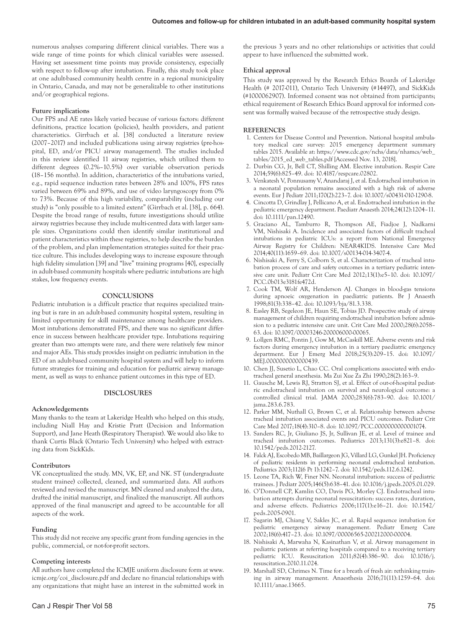numerous analyses comparing different clinical variables. There was a wide range of time points for which clinical variables were assessed. Having set assessment time points may provide consistency, especially with respect to follow-up after intubation. Finally, this study took place at one adult-based community health centre in a regional municipality in Ontario, Canada, and may not be generalizable to other institutions and/or geographical regions.

#### **Future implications**

Our FPS and AE rates likely varied because of various factors: different definitions, practice location (policies), health providers, and patient characteristics. Girrbach et al. [38] conducted a literature review (2007–2017) and included publications using airway registries (pre-hospital, ED, and/or PICU airway management). The studies included in this review identified 11 airway registries, which utilized them to different degrees (0.2%–10.5%) over variable observation periods (18–156 months). In addition, characteristics of the intubations varied, e.g., rapid sequence induction rates between 28% and 100%, FPS rates varied between 69% and 89%, and use of video laryngoscopy from 0% to 73%. Because of this high variability, comparability (including our study) is "only possible to a limited extent" (Girrbach et al. [38], p. 664). Despite the broad range of results, future investigations should utilize airway registries because they include multi-centred data with larger sample sizes. Organizations could then identify similar institutional and patient characteristics within these registries, to help describe the burden of the problem, and plan implementation strategies suited for their practice culture. This includes developing ways to increase exposure through high fidelity simulation [39] and "live" training programs [40], especially in adult-based community hospitals where pediatric intubations are high stakes, low frequency events.

#### **CONCLUSIONS**

Pediatric intubation is a difficult practice that requires specialized training but is rare in an adult-based community hospital system, resulting in limited opportunity for skill maintenance among healthcare providers. Most intubations demonstrated FPS, and there was no significant difference in success between healthcare provider type. Intubations requiring greater than two attempts were rare, and there were relatively few minor and major AEs. This study provides insight on pediatric intubation in the ED of an adult-based community hospital system and will help to inform future strategies for training and education for pediatric airway management, as well as ways to enhance patient outcomes in this type of ED.

#### **DISCLOSURES**

#### **Acknowledgements**

Many thanks to the team at Lakeridge Health who helped on this study, including Niall Hay and Kristie Pratt (Decision and Information Support), and Jane Heath (Respiratory Therapist). We would also like to thank Curtis Black (Ontario Tech University) who helped with extracting data from SickKids.

#### **Contributors**

VK conceptualized the study. MN, VK, EP, and NK. ST (undergraduate student trainee) collected, cleaned, and summarized data. All authors reviewed and revised the manuscript. MN cleaned and analyzed the data, drafted the initial manuscript, and finalized the manuscript. All authors approved of the final manuscript and agreed to be accountable for all aspects of the work.

## **Funding**

This study did not receive any specific grant from funding agencies in the public, commercial, or not-for-profit sectors.

#### **Competing interests**

All authors have completed the ICMJE uniform disclosure form at [www.](http://www.icmje.org/coi_disclosure.pdf) [icmje.org/coi\\_disclosure.pdf](http://www.icmje.org/coi_disclosure.pdf) and declare no financial relationships with any organizations that might have an interest in the submitted work in the previous 3 years and no other relationships or activities that could appear to have influenced the submitted work.

#### **Ethical approval**

This study was approved by the Research Ethics Boards of Lakeridge Health (# 2017-011), Ontario Tech University (#14497), and SickKids (#1000062907). Informed consent was not obtained from participants; ethical requirement of Research Ethics Board approval for informed consent was formally waived because of the retrospective study design.

#### **REFERENCES**

- 1. Centers for Disease Control and Prevention. National hospital ambulatory medical care survey: 2015 emergency department summary tables 2015. Available at: [https://www.cdc.gov/nchs/data/nhamcs/web\\_](https://www.cdc.gov/nchs/data/nhamcs/web_tables/2015_ed_web_tables.pdf) [tables/2015\\_ed\\_web\\_tables.pdf](https://www.cdc.gov/nchs/data/nhamcs/web_tables/2015_ed_web_tables.pdf) [Accessed Nov. 13, 2018].
- 2. Durbin CG, Jr, Bell CT, Shilling AM. Elective intubation. Respir Care 2014;59(6):825–49. doi: 10.4187/respcare.02802.
- 3. Venkatesh V, Ponnusamy V, Anandaraj J, et al. Endotracheal intubation in a neonatal population remains associated with a high risk of adverse events. Eur J Pediatr 2011;170(2):223–7. doi: 10.1007/s00431-010-1290-8.
- 4. Cincotta D, Grindlay J, Pellicano A, et al. Endotracheal intubation in the pediatric emergency department. Paediatr Anaesth 2014;24(12):1204–11. doi: 10.1111/pan.12490.
- 5. Graciano AL, Tamburro R, Thompson AE, Fiadjoe J, Nadkarni VM, Nishisaki A. Incidence and associated factors of difficult tracheal intubations in pediatric ICUs: a report from National Emergency Airway Registry for Children: NEAR4KIDS. Intensive Care Med 2014;40(11):1659–69. doi: 10.1007/s00134-014-3407-4.
- 6. Nishisaki A, Ferry S, Colborn S, et al. Characterization of tracheal intubation process of care and safety outcomes in a tertiary pediatric intensive care unit. Pediatr Crit Care Med 2012;13(1):e5–10. doi: 10.1097/ PCC.0b013e3181fe472d.
- 7. Cook TM, Wolf AR, Henderson AJ. Changes in blood-gas tensions during apnoeic oxygenation in paediatric patients. Br J Anaesth 1998;81(3):338–42. doi: 10.1093/bja/81.3.338.
- 8. Easley RB, Segeleon JE, Haun SE, Tobias JD. Prospective study of airway management of children requiring endotracheal intubation before admission to a pediatric intensive care unit. Crit Care Med 2000;28(6):2058– 63. doi: 10.1097/00003246-200006000-00065.
- 9. Lollgen RMC, Pontin J, Gow M, McCaskill ME. Adverse events and risk factors during emergency intubation in a tertiary paediatric emergency department. Eur J Emerg Med 2018;25(3):209–15. doi: 10.1097/ MEJ.0000000000000439.
- 10. Chen JJ, Susetio L, Chao CC. Oral complications associated with endotracheal general anesthesia. Ma Zui Xue Za Zhi 1990;28(2):163–9.
- 11. Gausche M, Lewis RJ, Stratton SJ, et al. Effect of out-of-hospital pediatric endotracheal intubation on survival and neurological outcome: a controlled clinical trial. JAMA 2000;283(6):783–90. doi: 10.1001/ jama.283.6.783.
- 12. Parker MM, Nuthall G, Brown C, et al. Relationship between adverse tracheal intubation associated events and PICU outcomes. Pediatr Crit Care Med 2017;18(4):310–8. doi: 10.1097/PCC.0000000000001074.
- 13. Sanders RC, Jr, Giuliano JS, Jr, Sullivan JE, et al. Level of trainee and tracheal intubation outcomes. Pediatrics 2013;131(3):e821–8. doi: 10.1542/peds.2012-2127.
- 14. Falck AJ, Escobedo MB, Baillargeon JG, Villard LG, Gunkel JH. Proficiency of pediatric residents in performing neonatal endotracheal intubation. Pediatrics 2003;112(6 Pt 1):1242–7. doi: 10.1542/peds.112.6.1242.
- 15. Leone TA, Rich W, Finer NN. Neonatal intubation: success of pediatric trainees. J Pediatr 2005;146(5):638–41. doi: 10.1016/j.jpeds.2005.01.029.
- 16. O'Donnell CP, Kamlin CO, Davis PG, Morley CJ. Endotracheal intubation attempts during neonatal resuscitation: success rates, duration, and adverse effects. Pediatrics 2006;117(1):e16–21. doi: 10.1542/ peds.2005-0901.
- 17. Sagarin MJ, Chiang V, Sakles JC, et al. Rapid sequence intubation for pediatric emergency airway management. Pediatr Emerg Care 2002;18(6):417–23. doi: 10.1097/00006565-200212000-00004.
- 18. Nishisaki A, Marwaha N, Kasinathan V, et al. Airway management in pediatric patients at referring hospitals compared to a receiving tertiary pediatric ICU. Resuscitation 2011;82(4):386–90. doi: 10.1016/j. resuscitation.2010.11.024.
- 19. Marshall SD, Chrimes N. Time for a breath of fresh air: rethinking training in airway management. Anaesthesia 2016;71(11):1259–64. doi: 10.1111/anae.13665.